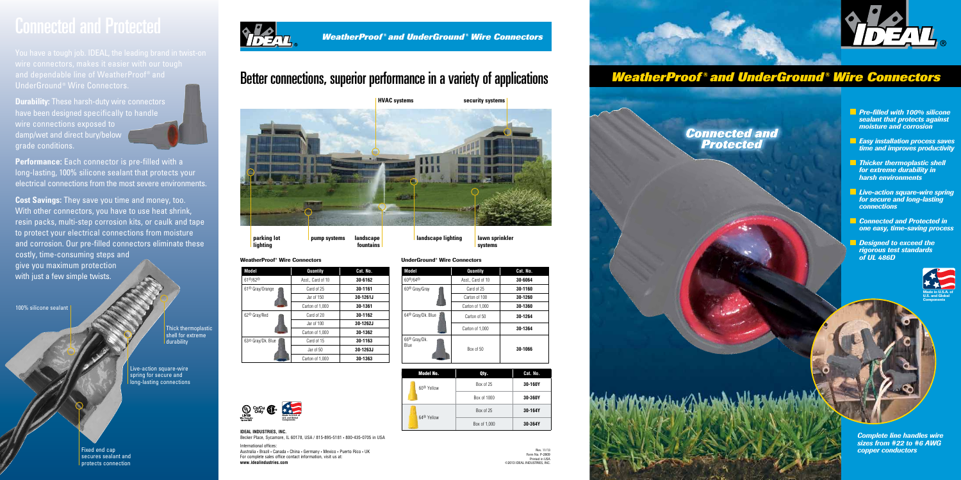*Connected and Protected*

*Pre-filled with 100% silicone sealant that protects against moisture and corrosion*

- *Easy installation process saves time and improves productivity*
- *Thicker thermoplastic shell for extreme durability in harsh environments*
- *Live-action square-wire spring for secure and long-lasting connections*
- *Connected and Protected in one easy, time-saving process*

Thick thermoplastic shell for extreme **durability** 

*Designed to exceed the rigorous test standards of UL 486D* 

## *WeatherProof ® and UnderGround ® Wire Connectors*

Fixed end cap secures sealant and protects connection



**Durability:** These harsh-duty wire connectors have been designed specifically to handle wire connections exposed to damp/wet and direct bury/below grade conditions.



Live-action square-wire spring for secure and long-lasting connections

**Cost Savings:** They save you time and money, too. With other connectors, you have to use heat shrink, resin packs, multi-step corrosion kits, or caulk and tape to protect your electrical connections from moisture and corrosion. Our pre-filled connectors eliminate these costly, time-consuming steps and give you maximum protection with just a few simple twists.

100% silicone sealant



**Performance:** Each connector is pre-filled with a long-lasting, 100% silicone sealant that protects your electrical connections from the most severe environments.

# Connected and Protected



**IDEAL INDUSTRIES, INC.** Becker Place, Sycamore, IL 60178, USA / 815-895-5181 • 800-435-0705 in USA International offices:

Australia • Brazil • Canada • China • Germany • Mexico • Puerto Rico • UK For complete sales office contact information, visit us at: **www.idealindustries.com** 

**systems**

**lighting**



**fountains**

# Better connections, superior performance in a variety of applications

### WeatherProof® Wire Connectors

## UnderGround® Wire Connectors





| <b>Model No.</b>       | Qty.         | Cat. No. |
|------------------------|--------------|----------|
| 60 <sup>®</sup> Yellow | Box of 25    | 30-160Y  |
|                        | Box of 1000  | 30-360Y  |
| 64 <sup>®</sup> Yellow | Box of 25    | 30-164Y  |
|                        | Box of 1,000 | 30-364Y  |

| Model                         | Quantity          | Cat. No. |
|-------------------------------|-------------------|----------|
| $61^{\circ}\%2^{\circ}\$      | Asst., Card of 10 | 30-6162  |
| 61 <sup>®</sup> Gray/Orange   | Card of 25        | 30-1161  |
|                               | Jar of 150        | 30-1261J |
|                               | Carton of 1,000   | 30-1361  |
| 62 <sup>®</sup> Gray/Red      | Card of 20        | 30-1162  |
|                               | Jar of 100        | 30-1262J |
|                               | Carton of 1,000   | 30-1362  |
| 63 <sup>®</sup> Gray/Dk. Blue | Card of 15        | 30-1163  |
|                               | Jar of 50         | 30-1263J |
|                               | Carton of 1,000   | 30-1363  |

| Model                                   | Quantity          | Cat. No. |
|-----------------------------------------|-------------------|----------|
| 60 <sup>®</sup> /64 <sup>®</sup>        | Asst., Card of 10 | 30-6064  |
| 60 <sup>®</sup> Gray/Gray               | Card of 25        | 30-1160  |
|                                         | Carton of 100     | 30-1260  |
|                                         | Carton of 1,000   | 30-1360  |
| $64^{\circledR}$ Gray/Dk. Blue          | Carton of 50      | 30-1264  |
|                                         | Carton of 1,000   | 30-1364  |
| 66 <sup>®</sup> Gray/Dk.<br><b>Blue</b> | Box of 50         | 30-1066  |